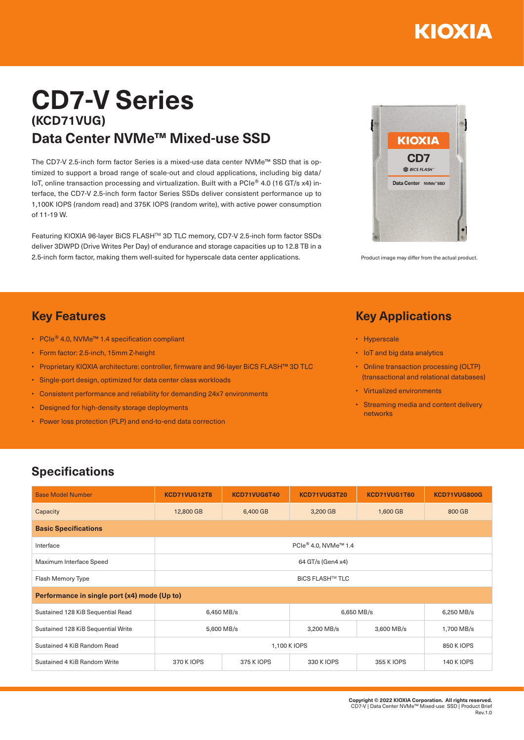

# **CD7-V Series (KCD71VUG) Data Center NVMe™ Mixed-use SSD**

The CD7-V 2.5-inch form factor Series is a mixed-use data center NVMe™ SSD that is optimized to support a broad range of scale-out and cloud applications, including big data/ IoT, online transaction processing and virtualization. Built with a PCIe® 4.0 (16 GT/s x4) interface, the CD7-V 2.5-inch form factor Series SSDs deliver consistent performance up to 1,100K IOPS (random read) and 375K IOPS (random write), with active power consumption of 11-19 W.

Featuring KIOXIA 96-layer BiCS FLASHTM 3D TLC memory, CD7-V 2.5-inch form factor SSDs deliver 3DWPD (Drive Writes Per Day) of endurance and storage capacities up to 12.8 TB in a 2.5-inch form factor, making them well-suited for hyperscale data center applications. Product image may differ from the actual product



#### **Key Features**

- PCIe® 4.0, NVMe™ 1.4 specification compliant
- Form factor: 2.5-inch, 15mm Z-height
- Proprietary KIOXIA architecture: controller, firmware and 96-layer BiCS FLASH™ 3D TLC
- Single-port design, optimized for data center class workloads
- Consistent performance and reliability for demanding 24x7 environments
- Designed for high-density storage deployments
- Power loss protection (PLP) and end-to-end data correction

### **Key Applications**

- Hyperscale
- IoT and big data analytics
- Online transaction processing (OLTP) (transactional and relational databases)
- Virtualized environments
- Streaming media and content delivery networks

## **Specifications**

| <b>Base Model Number</b>                     | KCD71VUG12T8                                 | KCD71VUG6T40 | KCD71VUG3T20 | KCD71VUG1T60 | <b>KCD71VUG800G</b> |  |  |  |  |
|----------------------------------------------|----------------------------------------------|--------------|--------------|--------------|---------------------|--|--|--|--|
| Capacity                                     | 12,800 GB                                    | 6,400 GB     | 3,200 GB     | 1,600 GB     | 800 GB              |  |  |  |  |
| <b>Basic Specifications</b>                  |                                              |              |              |              |                     |  |  |  |  |
| Interface                                    | PCle <sup>®</sup> 4.0, NVMe <sup>™</sup> 1.4 |              |              |              |                     |  |  |  |  |
| Maximum Interface Speed                      | 64 GT/s (Gen4 x4)                            |              |              |              |                     |  |  |  |  |
| Flash Memory Type                            | <b>BICS FLASH™ TLC</b>                       |              |              |              |                     |  |  |  |  |
| Performance in single port (x4) mode (Up to) |                                              |              |              |              |                     |  |  |  |  |
| Sustained 128 KiB Sequential Read            | 6,450 MB/s                                   |              | 6,650 MB/s   |              | 6,250 MB/s          |  |  |  |  |
| Sustained 128 KiB Sequential Write           | 5,600 MB/s                                   |              | 3,200 MB/s   | 3,600 MB/s   | 1,700 MB/s          |  |  |  |  |
| Sustained 4 KiB Random Read                  |                                              | 850 K IOPS   |              |              |                     |  |  |  |  |
| Sustained 4 KiB Random Write                 | 370 K IOPS                                   | 375 K IOPS   | 330 K IOPS   | 355 K IOPS   | <b>140 K IOPS</b>   |  |  |  |  |